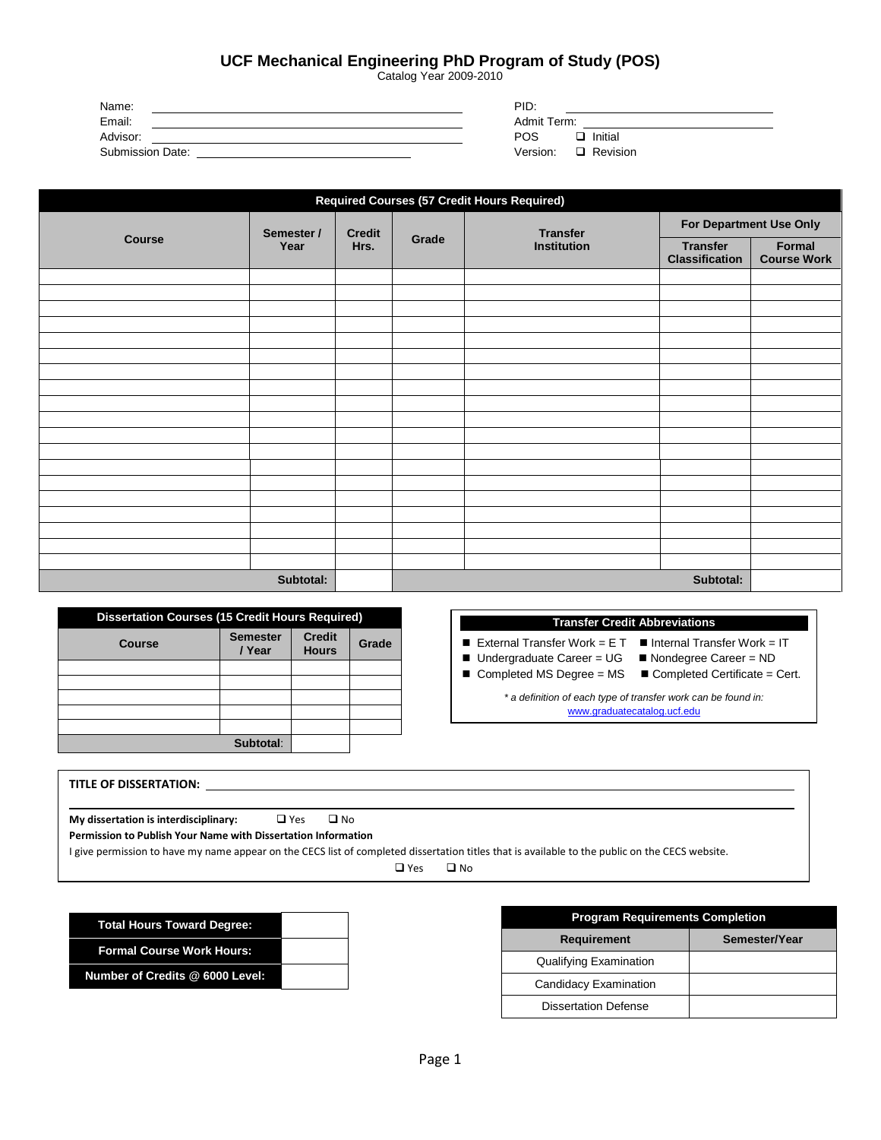Print POS

Save POS

| <b>Clear POS</b> |  |
|------------------|--|
|------------------|--|

## **UCF Mechanical Engineering PhD Program of Study (POS)**

Catalog Year 2009-2010

| Name:                   | PID:                   |
|-------------------------|------------------------|
| Email:                  | Admit Term:            |
| Advisor:                | <b>POS</b><br>Initial  |
| <b>Submission Date:</b> | Version:<br>□ Revision |

| <b>Required Courses (57 Credit Hours Required)</b> |            |               |       |                                       |                                          |                              |
|----------------------------------------------------|------------|---------------|-------|---------------------------------------|------------------------------------------|------------------------------|
|                                                    | Semester / | <b>Credit</b> |       | <b>Transfer</b><br><b>Institution</b> | For Department Use Only                  |                              |
| <b>Course</b>                                      | Year       | Hrs.          | Grade |                                       | <b>Transfer</b><br><b>Classification</b> | Formal<br><b>Course Work</b> |
|                                                    |            |               |       |                                       |                                          |                              |
|                                                    |            |               |       |                                       |                                          |                              |
|                                                    |            |               |       |                                       |                                          |                              |
|                                                    |            |               |       |                                       |                                          |                              |
|                                                    |            |               |       |                                       |                                          |                              |
|                                                    |            |               |       |                                       |                                          |                              |
|                                                    |            |               |       |                                       |                                          |                              |
|                                                    |            |               |       |                                       |                                          |                              |
|                                                    |            |               |       |                                       |                                          |                              |
|                                                    |            |               |       |                                       |                                          |                              |
|                                                    |            |               |       |                                       |                                          |                              |
|                                                    |            |               |       |                                       |                                          |                              |
|                                                    |            |               |       |                                       |                                          |                              |
|                                                    |            |               |       |                                       |                                          |                              |
|                                                    |            |               |       |                                       |                                          |                              |
|                                                    |            |               |       |                                       |                                          |                              |
|                                                    |            |               |       |                                       |                                          |                              |
|                                                    |            |               |       |                                       |                                          |                              |
|                                                    |            |               |       |                                       |                                          |                              |
|                                                    | Subtotal:  |               |       |                                       | Subtotal:                                |                              |

| <b>Dissertation Courses (15 Credit Hours Required)</b> |                           |                               |       |
|--------------------------------------------------------|---------------------------|-------------------------------|-------|
| Course                                                 | <b>Semester</b><br>/ Year | <b>Credit</b><br><b>Hours</b> | Grade |
|                                                        |                           |                               |       |
|                                                        |                           |                               |       |
|                                                        |                           |                               |       |
|                                                        |                           |                               |       |
|                                                        |                           |                               |       |
|                                                        | Subtotal:                 |                               |       |

## **Transfer Credit Abbreviations**

- 
- External Transfer Work = E T Internal Transfer Work = IT<br>■ Undergraduate Career = UG Nondegree Career = ND  $\blacksquare$  Undergraduate Career = UG
	-
- Completed MS Degree = MS Completed Certificate = Cert.
	-

*\* a definition of each type of transfer work can be found in:* [www.graduatecatalog.ucf.edu](http://www.graduatecatalog.ucf.edu/)

| <b>TITLE OF DISSERTATION:</b>                                 |            |              |  |  |  |
|---------------------------------------------------------------|------------|--------------|--|--|--|
|                                                               |            |              |  |  |  |
| My dissertation is interdisciplinary:                         | $\Box$ Yes | $\square$ No |  |  |  |
| Permission to Publish Your Name with Dissertation Information |            |              |  |  |  |

I give permission to have my name appear on the CECS list of completed dissertation titles that is available to the public on the CECS website.

 $\Box$  Yes  $\Box$  No

| <b>Total Hours Toward Degree:</b> |  |
|-----------------------------------|--|
| <b>Formal Course Work Hours:</b>  |  |
| Number of Credits @ 6000 Level:   |  |

| <b>Program Requirements Completion</b> |               |  |  |  |  |
|----------------------------------------|---------------|--|--|--|--|
| <b>Requirement</b>                     | Semester/Year |  |  |  |  |
| <b>Qualifying Examination</b>          |               |  |  |  |  |
| Candidacy Examination                  |               |  |  |  |  |
| <b>Dissertation Defense</b>            |               |  |  |  |  |